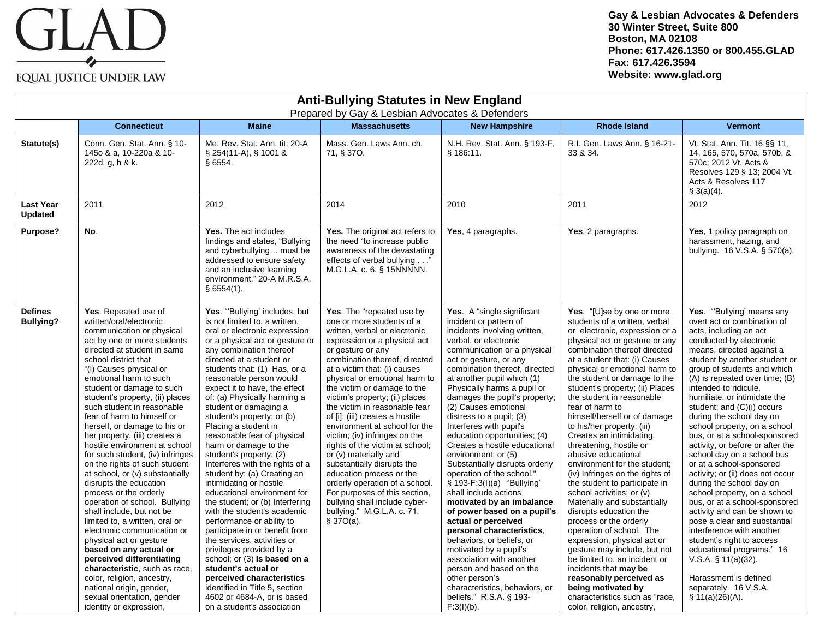## GLAD EQUAL JUSTICE UNDER LAW

**Gay & Lesbian Advocates & Defenders 30 Winter Street, Suite 800 Boston, MA 02108 Phone: 617.426.1350 or 800.455.GLAD Fax: 617.426.3594 Website: www.glad.org**

| <b>Anti-Bullying Statutes in New England</b><br>Prepared by Gay & Lesbian Advocates & Defenders |                                                                                                                                                                                                                                                                                                                                                                                                                                                                                                                                                                                                                                                                                                                                                                                                                                                                                                                                                                                        |                                                                                                                                                                                                                                                                                                                                                                                                                                                                                                                                                                                                                                                                                                                                                                                                                                                                                                                                                                                                    |                                                                                                                                                                                                                                                                                                                                                                                                                                                                                                                                                                                                                                                                                                                            |                                                                                                                                                                                                                                                                                                                                                                                                                                                                                                                                                                                                                                                                                                                                                                                                                                                                                                                                   |                                                                                                                                                                                                                                                                                                                                                                                                                                                                                                                                                                                                                                                                                                                                                                                                                                                                                                                                                                                             |                                                                                                                                                                                                                                                                                                                                                                                                                                                                                                                                                                                                                                                                                                                                                                                                                                                                                                                          |  |
|-------------------------------------------------------------------------------------------------|----------------------------------------------------------------------------------------------------------------------------------------------------------------------------------------------------------------------------------------------------------------------------------------------------------------------------------------------------------------------------------------------------------------------------------------------------------------------------------------------------------------------------------------------------------------------------------------------------------------------------------------------------------------------------------------------------------------------------------------------------------------------------------------------------------------------------------------------------------------------------------------------------------------------------------------------------------------------------------------|----------------------------------------------------------------------------------------------------------------------------------------------------------------------------------------------------------------------------------------------------------------------------------------------------------------------------------------------------------------------------------------------------------------------------------------------------------------------------------------------------------------------------------------------------------------------------------------------------------------------------------------------------------------------------------------------------------------------------------------------------------------------------------------------------------------------------------------------------------------------------------------------------------------------------------------------------------------------------------------------------|----------------------------------------------------------------------------------------------------------------------------------------------------------------------------------------------------------------------------------------------------------------------------------------------------------------------------------------------------------------------------------------------------------------------------------------------------------------------------------------------------------------------------------------------------------------------------------------------------------------------------------------------------------------------------------------------------------------------------|-----------------------------------------------------------------------------------------------------------------------------------------------------------------------------------------------------------------------------------------------------------------------------------------------------------------------------------------------------------------------------------------------------------------------------------------------------------------------------------------------------------------------------------------------------------------------------------------------------------------------------------------------------------------------------------------------------------------------------------------------------------------------------------------------------------------------------------------------------------------------------------------------------------------------------------|---------------------------------------------------------------------------------------------------------------------------------------------------------------------------------------------------------------------------------------------------------------------------------------------------------------------------------------------------------------------------------------------------------------------------------------------------------------------------------------------------------------------------------------------------------------------------------------------------------------------------------------------------------------------------------------------------------------------------------------------------------------------------------------------------------------------------------------------------------------------------------------------------------------------------------------------------------------------------------------------|--------------------------------------------------------------------------------------------------------------------------------------------------------------------------------------------------------------------------------------------------------------------------------------------------------------------------------------------------------------------------------------------------------------------------------------------------------------------------------------------------------------------------------------------------------------------------------------------------------------------------------------------------------------------------------------------------------------------------------------------------------------------------------------------------------------------------------------------------------------------------------------------------------------------------|--|
|                                                                                                 | <b>Connecticut</b>                                                                                                                                                                                                                                                                                                                                                                                                                                                                                                                                                                                                                                                                                                                                                                                                                                                                                                                                                                     | <b>Maine</b>                                                                                                                                                                                                                                                                                                                                                                                                                                                                                                                                                                                                                                                                                                                                                                                                                                                                                                                                                                                       | <b>Massachusetts</b>                                                                                                                                                                                                                                                                                                                                                                                                                                                                                                                                                                                                                                                                                                       | <b>New Hampshire</b>                                                                                                                                                                                                                                                                                                                                                                                                                                                                                                                                                                                                                                                                                                                                                                                                                                                                                                              | <b>Rhode Island</b>                                                                                                                                                                                                                                                                                                                                                                                                                                                                                                                                                                                                                                                                                                                                                                                                                                                                                                                                                                         | <b>Vermont</b>                                                                                                                                                                                                                                                                                                                                                                                                                                                                                                                                                                                                                                                                                                                                                                                                                                                                                                           |  |
| Statute(s)                                                                                      | Conn. Gen. Stat. Ann. § 10-<br>145o & a. 10-220a & 10-<br>222d, g, h & k.                                                                                                                                                                                                                                                                                                                                                                                                                                                                                                                                                                                                                                                                                                                                                                                                                                                                                                              | Me. Rev. Stat. Ann. tit. 20-A<br>§ 254(11-A), § 1001 &<br>§6554.                                                                                                                                                                                                                                                                                                                                                                                                                                                                                                                                                                                                                                                                                                                                                                                                                                                                                                                                   | Mass. Gen. Laws Ann. ch.<br>71, § 370.                                                                                                                                                                                                                                                                                                                                                                                                                                                                                                                                                                                                                                                                                     | N.H. Rev. Stat. Ann. § 193-F,<br>§ 186:11.                                                                                                                                                                                                                                                                                                                                                                                                                                                                                                                                                                                                                                                                                                                                                                                                                                                                                        | R.I. Gen. Laws Ann. § 16-21-<br>33 & 34.                                                                                                                                                                                                                                                                                                                                                                                                                                                                                                                                                                                                                                                                                                                                                                                                                                                                                                                                                    | Vt. Stat. Ann. Tit. 16 §§ 11,<br>14, 165, 570, 570a, 570b, &<br>570c; 2012 Vt. Acts &<br>Resolves 129 § 13; 2004 Vt.<br>Acts & Resolves 117<br>\$3(a)(4).                                                                                                                                                                                                                                                                                                                                                                                                                                                                                                                                                                                                                                                                                                                                                                |  |
| <b>Last Year</b><br>Updated                                                                     | 2011                                                                                                                                                                                                                                                                                                                                                                                                                                                                                                                                                                                                                                                                                                                                                                                                                                                                                                                                                                                   | 2012                                                                                                                                                                                                                                                                                                                                                                                                                                                                                                                                                                                                                                                                                                                                                                                                                                                                                                                                                                                               | 2014                                                                                                                                                                                                                                                                                                                                                                                                                                                                                                                                                                                                                                                                                                                       | 2010                                                                                                                                                                                                                                                                                                                                                                                                                                                                                                                                                                                                                                                                                                                                                                                                                                                                                                                              | 2011                                                                                                                                                                                                                                                                                                                                                                                                                                                                                                                                                                                                                                                                                                                                                                                                                                                                                                                                                                                        | 2012                                                                                                                                                                                                                                                                                                                                                                                                                                                                                                                                                                                                                                                                                                                                                                                                                                                                                                                     |  |
| Purpose?                                                                                        | No.                                                                                                                                                                                                                                                                                                                                                                                                                                                                                                                                                                                                                                                                                                                                                                                                                                                                                                                                                                                    | Yes. The act includes<br>findings and states, "Bullying<br>and cyberbullying must be<br>addressed to ensure safety<br>and an inclusive learning<br>environment." 20-A M.R.S.A.<br>$§$ 6554(1).                                                                                                                                                                                                                                                                                                                                                                                                                                                                                                                                                                                                                                                                                                                                                                                                     | Yes. The original act refers to<br>the need "to increase public<br>awareness of the devastating<br>effects of verbal bullying"<br>M.G.L.A. c. 6, § 15NNNNN.                                                                                                                                                                                                                                                                                                                                                                                                                                                                                                                                                                | Yes, 4 paragraphs.                                                                                                                                                                                                                                                                                                                                                                                                                                                                                                                                                                                                                                                                                                                                                                                                                                                                                                                | Yes, 2 paragraphs.                                                                                                                                                                                                                                                                                                                                                                                                                                                                                                                                                                                                                                                                                                                                                                                                                                                                                                                                                                          | Yes, 1 policy paragraph on<br>harassment, hazing, and<br>bullying. 16 V.S.A. § 570(a).                                                                                                                                                                                                                                                                                                                                                                                                                                                                                                                                                                                                                                                                                                                                                                                                                                   |  |
| <b>Defines</b><br><b>Bullying?</b>                                                              | Yes. Repeated use of<br>written/oral/electronic<br>communication or physical<br>act by one or more students<br>directed at student in same<br>school district that<br>"(i) Causes physical or<br>emotional harm to such<br>student or damage to such<br>student's property, (ii) places<br>such student in reasonable<br>fear of harm to himself or<br>herself, or damage to his or<br>her property, (iii) creates a<br>hostile environment at school<br>for such student, (iv) infringes<br>on the rights of such student<br>at school, or (v) substantially<br>disrupts the education<br>process or the orderly<br>operation of school. Bullying<br>shall include, but not be<br>limited to, a written, oral or<br>electronic communication or<br>physical act or gesture<br>based on any actual or<br>perceived differentiating<br>characteristic, such as race,<br>color, religion, ancestry,<br>national origin, gender,<br>sexual orientation, gender<br>identity or expression, | Yes. "Bullying' includes, but<br>is not limited to, a written,<br>oral or electronic expression<br>or a physical act or gesture or<br>any combination thereof<br>directed at a student or<br>students that: (1) Has, or a<br>reasonable person would<br>expect it to have, the effect<br>of: (a) Physically harming a<br>student or damaging a<br>student's property; or (b)<br>Placing a student in<br>reasonable fear of physical<br>harm or damage to the<br>student's property; (2)<br>Interferes with the rights of a<br>student by: (a) Creating an<br>intimidating or hostile<br>educational environment for<br>the student; or (b) Interfering<br>with the student's academic<br>performance or ability to<br>participate in or benefit from<br>the services, activities or<br>privileges provided by a<br>school; or (3) Is based on a<br>student's actual or<br>perceived characteristics<br>identified in Title 5, section<br>4602 or 4684-A, or is based<br>on a student's association | Yes. The "repeated use by<br>one or more students of a<br>written, verbal or electronic<br>expression or a physical act<br>or gesture or any<br>combination thereof, directed<br>at a victim that: (i) causes<br>physical or emotional harm to<br>the victim or damage to the<br>victim's property; (ii) places<br>the victim in reasonable fear<br>of [i]; (iii) creates a hostile<br>environment at school for the<br>victim; (iv) infringes on the<br>rights of the victim at school;<br>or (v) materially and<br>substantially disrupts the<br>education process or the<br>orderly operation of a school.<br>For purposes of this section,<br>bullying shall include cyber-<br>bullying." M.G.L.A. c. 71,<br>\$37O(a). | Yes. A "single significant"<br>incident or pattern of<br>incidents involving written,<br>verbal, or electronic<br>communication or a physical<br>act or gesture, or any<br>combination thereof, directed<br>at another pupil which (1)<br>Physically harms a pupil or<br>damages the pupil's property;<br>(2) Causes emotional<br>distress to a pupil; (3)<br>Interferes with pupil's<br>education opportunities; (4)<br>Creates a hostile educational<br>environment; or (5)<br>Substantially disrupts orderly<br>operation of the school."<br>§ 193-F:3(I)(a) "Bullying'<br>shall include actions<br>motivated by an imbalance<br>of power based on a pupil's<br>actual or perceived<br>personal characteristics,<br>behaviors, or beliefs, or<br>motivated by a pupil's<br>association with another<br>person and based on the<br>other person's<br>characteristics, behaviors, or<br>beliefs." R.S.A. § 193-<br>$F:3(I)(b)$ . | Yes. "[U]se by one or more<br>students of a written, verbal<br>or electronic, expression or a<br>physical act or gesture or any<br>combination thereof directed<br>at a student that: (i) Causes<br>physical or emotional harm to<br>the student or damage to the<br>student's property; (ii) Places<br>the student in reasonable<br>fear of harm to<br>himself/herself or of damage<br>to his/her property; (iii)<br>Creates an intimidating.<br>threatening, hostile or<br>abusive educational<br>environment for the student;<br>(iv) Infringes on the rights of<br>the student to participate in<br>school activities; or (v)<br>Materially and substantially<br>disrupts education the<br>process or the orderly<br>operation of school. The<br>expression, physical act or<br>gesture may include, but not<br>be limited to, an incident or<br>incidents that may be<br>reasonably perceived as<br>being motivated by<br>characteristics such as "race,<br>color, religion, ancestry, | Yes. "Bullying' means any<br>overt act or combination of<br>acts, including an act<br>conducted by electronic<br>means, directed against a<br>student by another student or<br>group of students and which<br>(A) is repeated over time; (B)<br>intended to ridicule,<br>humiliate, or intimidate the<br>student; and (C)(i) occurs<br>during the school day on<br>school property, on a school<br>bus, or at a school-sponsored<br>activity, or before or after the<br>school day on a school bus<br>or at a school-sponsored<br>activity; or (ii) does not occur<br>during the school day on<br>school property, on a school<br>bus, or at a school-sponsored<br>activity and can be shown to<br>pose a clear and substantial<br>interference with another<br>student's right to access<br>educational programs." 16<br>V.S.A. $\S$ 11(a)(32).<br>Harassment is defined<br>separately. 16 V.S.A.<br>$\S$ 11(a)(26)(A). |  |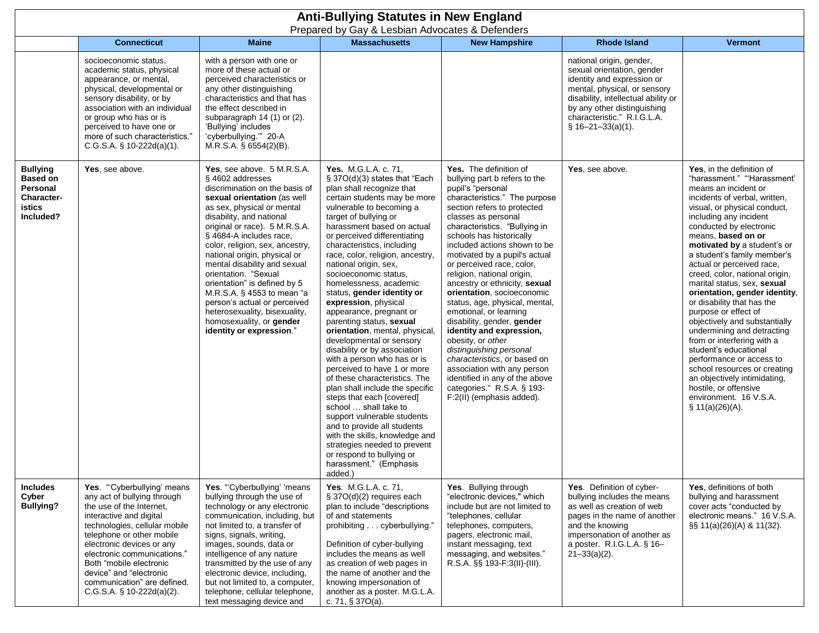|                                                                                     | <b>Anti-Bullying Statutes in New England</b><br>Prepared by Gay & Lesbian Advocates & Defenders                                                                                                                                                                                                                                                                |                                                                                                                                                                                                                                                                                                                                                                                                                                                                                                                                                         |                                                                                                                                                                                                                                                                                                                                                                                                                                                                                                                                                                                                                                                                                                                                                                                                                                                                                                                                                                                                 |                                                                                                                                                                                                                                                                                                                                                                                                                                                                                                                                                                                                                                                                                                                                                               |                                                                                                                                                                                                                                                 |                                                                                                                                                                                                                                                                                                                                                                                                                                                                                                                                                                                                                                                                                                                                                                        |  |
|-------------------------------------------------------------------------------------|----------------------------------------------------------------------------------------------------------------------------------------------------------------------------------------------------------------------------------------------------------------------------------------------------------------------------------------------------------------|---------------------------------------------------------------------------------------------------------------------------------------------------------------------------------------------------------------------------------------------------------------------------------------------------------------------------------------------------------------------------------------------------------------------------------------------------------------------------------------------------------------------------------------------------------|-------------------------------------------------------------------------------------------------------------------------------------------------------------------------------------------------------------------------------------------------------------------------------------------------------------------------------------------------------------------------------------------------------------------------------------------------------------------------------------------------------------------------------------------------------------------------------------------------------------------------------------------------------------------------------------------------------------------------------------------------------------------------------------------------------------------------------------------------------------------------------------------------------------------------------------------------------------------------------------------------|---------------------------------------------------------------------------------------------------------------------------------------------------------------------------------------------------------------------------------------------------------------------------------------------------------------------------------------------------------------------------------------------------------------------------------------------------------------------------------------------------------------------------------------------------------------------------------------------------------------------------------------------------------------------------------------------------------------------------------------------------------------|-------------------------------------------------------------------------------------------------------------------------------------------------------------------------------------------------------------------------------------------------|------------------------------------------------------------------------------------------------------------------------------------------------------------------------------------------------------------------------------------------------------------------------------------------------------------------------------------------------------------------------------------------------------------------------------------------------------------------------------------------------------------------------------------------------------------------------------------------------------------------------------------------------------------------------------------------------------------------------------------------------------------------------|--|
|                                                                                     | <b>Connecticut</b>                                                                                                                                                                                                                                                                                                                                             | <b>Maine</b>                                                                                                                                                                                                                                                                                                                                                                                                                                                                                                                                            | <b>Massachusetts</b>                                                                                                                                                                                                                                                                                                                                                                                                                                                                                                                                                                                                                                                                                                                                                                                                                                                                                                                                                                            | <b>New Hampshire</b>                                                                                                                                                                                                                                                                                                                                                                                                                                                                                                                                                                                                                                                                                                                                          | <b>Rhode Island</b>                                                                                                                                                                                                                             | <b>Vermont</b>                                                                                                                                                                                                                                                                                                                                                                                                                                                                                                                                                                                                                                                                                                                                                         |  |
|                                                                                     | socioeconomic status,<br>academic status, physical<br>appearance, or mental,<br>physical, developmental or<br>sensory disability, or by<br>association with an individual<br>or group who has or is<br>perceived to have one or<br>more of such characteristics."<br>$C.G.S.A.$ § 10-222d(a)(1).                                                               | with a person with one or<br>more of these actual or<br>perceived characteristics or<br>any other distinguishing<br>characteristics and that has<br>the effect described in<br>subparagraph $14(1)$ or $(2)$ .<br>'Bullying' includes<br>'cyberbullying."" 20-A<br>$M.R.S.A.$ § 6554(2)(B).                                                                                                                                                                                                                                                             |                                                                                                                                                                                                                                                                                                                                                                                                                                                                                                                                                                                                                                                                                                                                                                                                                                                                                                                                                                                                 |                                                                                                                                                                                                                                                                                                                                                                                                                                                                                                                                                                                                                                                                                                                                                               | national origin, gender,<br>sexual orientation, gender<br>identity and expression or<br>mental, physical, or sensory<br>disability, intellectual ability or<br>by any other distinguishing<br>characteristic." R.I.G.L.A.<br>$$16-21-33(a)(1).$ |                                                                                                                                                                                                                                                                                                                                                                                                                                                                                                                                                                                                                                                                                                                                                                        |  |
| <b>Bullying</b><br><b>Based on</b><br>Personal<br>Character-<br>istics<br>Included? | Yes, see above.                                                                                                                                                                                                                                                                                                                                                | Yes, see above. 5 M.R.S.A.<br>§ 4602 addresses<br>discrimination on the basis of<br>sexual orientation (as well<br>as sex, physical or mental<br>disability, and national<br>original or race). 5 M.R.S.A.<br>§ 4684-A includes race,<br>color, religion, sex, ancestry,<br>national origin, physical or<br>mental disability and sexual<br>orientation. "Sexual<br>orientation" is defined by 5<br>M.R.S.A. § 4553 to mean "a<br>person's actual or perceived<br>heterosexuality, bisexuality,<br>homosexuality, or gender<br>identity or expression." | <b>Yes.</b> M.G.L.A. c. 71.<br>§ 37O(d)(3) states that "Each<br>plan shall recognize that<br>certain students may be more<br>vulnerable to becoming a<br>target of bullying or<br>harassment based on actual<br>or perceived differentiating<br>characteristics, including<br>race, color, religion, ancestry,<br>national origin, sex,<br>socioeconomic status,<br>homelessness, academic<br>status, gender identity or<br>expression, physical<br>appearance, pregnant or<br>parenting status, sexual<br>orientation, mental, physical,<br>developmental or sensory<br>disability or by association<br>with a person who has or is<br>perceived to have 1 or more<br>of these characteristics. The<br>plan shall include the specific<br>steps that each [covered]<br>school  shall take to<br>support vulnerable students<br>and to provide all students<br>with the skills, knowledge and<br>strategies needed to prevent<br>or respond to bullying or<br>harassment." (Emphasis<br>added.) | Yes. The definition of<br>bullying part b refers to the<br>pupil's "personal<br>characteristics." The purpose<br>section refers to protected<br>classes as personal<br>characteristics. "Bullying in<br>schools has historically<br>included actions shown to be<br>motivated by a pupil's actual<br>or perceived race, color,<br>religion, national origin,<br>ancestry or ethnicity, sexual<br>orientation, socioeconomic<br>status, age, physical, mental,<br>emotional, or learning<br>disability, gender, gender<br>identity and expression,<br>obesity, or other<br>distinguishing personal<br>characteristics, or based on<br>association with any person<br>identified in any of the above<br>categories." R.S.A. § 193-<br>F:2(II) (emphasis added). | Yes, see above.                                                                                                                                                                                                                                 | Yes, in the definition of<br>"harassment." "Harassment'<br>means an incident or<br>incidents of verbal, written,<br>visual, or physical conduct,<br>including any incident<br>conducted by electronic<br>means, based on or<br>motivated by a student's or<br>a student's family member's<br>actual or perceived race,<br>creed, color, national origin,<br>marital status, sex, sexual<br>orientation, gender identity,<br>or disability that has the<br>purpose or effect of<br>objectively and substantially<br>undermining and detracting<br>from or interfering with a<br>student's educational<br>performance or access to<br>school resources or creating<br>an objectively intimidating,<br>hostile, or offensive<br>environment. 16 V.S.A.<br>§ 11(a)(26)(A). |  |
| <b>Includes</b><br>Cyber<br><b>Bullying?</b>                                        | Yes. "Cyberbullying' means<br>any act of bullying through<br>the use of the Internet,<br>interactive and digital<br>technologies, cellular mobile<br>telephone or other mobile<br>electronic devices or any<br>electronic communications."<br>Both "mobile electronic<br>device" and "electronic<br>communication" are defined.<br>$C.G.S.A.$ § 10-222d(a)(2). | Yes. "Cyberbullying' 'means<br>bullying through the use of<br>technology or any electronic<br>communication, including, but<br>not limited to, a transfer of<br>signs, signals, writing,<br>images, sounds, data or<br>intelligence of any nature<br>transmitted by the use of any<br>electronic device, including,<br>but not limited to, a computer,<br>telephone, cellular telephone,<br>text messaging device and                                                                                                                                   | Yes. M.G.L.A. c. 71,<br>§ 37O(d)(2) requires each<br>plan to include "descriptions<br>of and statements<br>prohibiting cyberbullying."<br>Definition of cyber-bullying<br>includes the means as well<br>as creation of web pages in<br>the name of another and the<br>knowing impersonation of<br>another as a poster. M.G.L.A.<br>c. 71, $§ 37O(a)$ .                                                                                                                                                                                                                                                                                                                                                                                                                                                                                                                                                                                                                                          | Yes. Bullying through<br>"electronic devices," which<br>include but are not limited to<br>"telephones, cellular<br>telephones, computers,<br>pagers, electronic mail,<br>instant messaging, text<br>messaging, and websites."<br>R.S.A. §§ 193-F:3(II)-(III).                                                                                                                                                                                                                                                                                                                                                                                                                                                                                                 | Yes. Definition of cyber-<br>bullying includes the means<br>as well as creation of web<br>pages in the name of another<br>and the knowing<br>impersonation of another as<br>a poster. R.I.G.L.A. § 16-<br>$21 - 33(a)(2)$ .                     | Yes, definitions of both<br>bullying and harassment<br>cover acts "conducted by<br>electronic means." 16 V.S.A.<br>§§ 11(a)(26)(A) & 11(32).                                                                                                                                                                                                                                                                                                                                                                                                                                                                                                                                                                                                                           |  |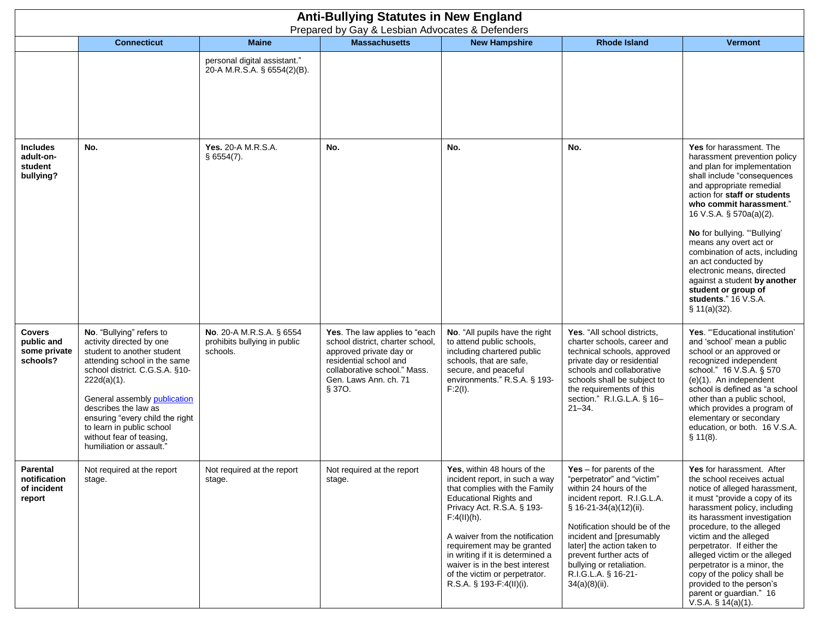|                                                         | <b>Anti-Bullying Statutes in New England</b><br>Prepared by Gay & Lesbian Advocates & Defenders                                                                                                                                                                                                                                                        |                                                                      |                                                                                                                                                                                           |                                                                                                                                                                                                                                                                                                                                                                                    |                                                                                                                                                                                                                                                                                                                                          |                                                                                                                                                                                                                                                                                                                                                                                                                                                                                        |  |  |
|---------------------------------------------------------|--------------------------------------------------------------------------------------------------------------------------------------------------------------------------------------------------------------------------------------------------------------------------------------------------------------------------------------------------------|----------------------------------------------------------------------|-------------------------------------------------------------------------------------------------------------------------------------------------------------------------------------------|------------------------------------------------------------------------------------------------------------------------------------------------------------------------------------------------------------------------------------------------------------------------------------------------------------------------------------------------------------------------------------|------------------------------------------------------------------------------------------------------------------------------------------------------------------------------------------------------------------------------------------------------------------------------------------------------------------------------------------|----------------------------------------------------------------------------------------------------------------------------------------------------------------------------------------------------------------------------------------------------------------------------------------------------------------------------------------------------------------------------------------------------------------------------------------------------------------------------------------|--|--|
|                                                         | <b>Connecticut</b>                                                                                                                                                                                                                                                                                                                                     | <b>Maine</b>                                                         | <b>Massachusetts</b>                                                                                                                                                                      | <b>New Hampshire</b>                                                                                                                                                                                                                                                                                                                                                               | <b>Rhode Island</b>                                                                                                                                                                                                                                                                                                                      | <b>Vermont</b>                                                                                                                                                                                                                                                                                                                                                                                                                                                                         |  |  |
|                                                         |                                                                                                                                                                                                                                                                                                                                                        | personal digital assistant."<br>20-A M.R.S.A. § 6554(2)(B).          |                                                                                                                                                                                           |                                                                                                                                                                                                                                                                                                                                                                                    |                                                                                                                                                                                                                                                                                                                                          |                                                                                                                                                                                                                                                                                                                                                                                                                                                                                        |  |  |
| <b>Includes</b><br>adult-on-<br>student<br>bullying?    | No.                                                                                                                                                                                                                                                                                                                                                    | <b>Yes. 20-A M.R.S.A.</b><br>$§$ 6554(7).                            | No.                                                                                                                                                                                       | No.                                                                                                                                                                                                                                                                                                                                                                                | No.                                                                                                                                                                                                                                                                                                                                      | Yes for harassment. The<br>harassment prevention policy<br>and plan for implementation<br>shall include "consequences<br>and appropriate remedial<br>action for staff or students<br>who commit harassment."<br>16 V.S.A. § 570a(a)(2).<br>No for bullying. "Bullying"<br>means any overt act or<br>combination of acts, including<br>an act conducted by<br>electronic means, directed<br>against a student by another<br>student or group of<br>students." 16 V.S.A.<br>\$11(a)(32). |  |  |
| <b>Covers</b><br>public and<br>some private<br>schools? | No. "Bullying" refers to<br>activity directed by one<br>student to another student<br>attending school in the same<br>school district. C.G.S.A. §10-<br>$222d(a)(1)$ .<br>General assembly publication<br>describes the law as<br>ensuring "every child the right<br>to learn in public school<br>without fear of teasing,<br>humiliation or assault." | No. 20-A M.R.S.A. § 6554<br>prohibits bullying in public<br>schools. | Yes. The law applies to "each<br>school district, charter school,<br>approved private day or<br>residential school and<br>collaborative school." Mass.<br>Gen. Laws Ann. ch. 71<br>§ 370. | No. "All pupils have the right<br>to attend public schools,<br>including chartered public<br>schools, that are safe,<br>secure, and peaceful<br>environments." R.S.A. § 193-<br>F:2(I).                                                                                                                                                                                            | Yes. "All school districts,<br>charter schools, career and<br>technical schools, approved<br>private day or residential<br>schools and collaborative<br>schools shall be subject to<br>the requirements of this<br>section." R.I.G.L.A. § 16-<br>$21 - 34$ .                                                                             | Yes. "Educational institution'<br>and 'school' mean a public<br>school or an approved or<br>recognized independent<br>school." 16 V.S.A. § 570<br>$(e)(1)$ . An independent<br>school is defined as "a school<br>other than a public school,<br>which provides a program of<br>elementary or secondary<br>education, or both. 16 V.S.A.<br>§ 11(8).                                                                                                                                    |  |  |
| Parental<br>notification<br>of incident<br>report       | Not required at the report<br>stage.                                                                                                                                                                                                                                                                                                                   | Not required at the report<br>stage.                                 | Not required at the report<br>stage.                                                                                                                                                      | Yes, within 48 hours of the<br>incident report, in such a way<br>that complies with the Family<br><b>Educational Rights and</b><br>Privacy Act. R.S.A. § 193-<br>$F:4(II)(h)$ .<br>A waiver from the notification<br>requirement may be granted<br>in writing if it is determined a<br>waiver is in the best interest<br>of the victim or perpetrator.<br>R.S.A. § 193-F:4(II)(i). | Yes $-$ for parents of the<br>"perpetrator" and "victim"<br>within 24 hours of the<br>incident report. R.I.G.L.A.<br>§ 16-21-34(a)(12)(ii).<br>Notification should be of the<br>incident and [presumably<br>later] the action taken to<br>prevent further acts of<br>bullying or retaliation.<br>R.I.G.L.A. § 16-21-<br>$34(a)(8)(ii)$ . | Yes for harassment. After<br>the school receives actual<br>notice of alleged harassment,<br>it must "provide a copy of its<br>harassment policy, including<br>its harassment investigation<br>procedure, to the alleged<br>victim and the alleged<br>perpetrator. If either the<br>alleged victim or the alleged<br>perpetrator is a minor, the<br>copy of the policy shall be<br>provided to the person's<br>parent or guardian." 16<br>V.S.A. $§ 14(a)(1)$ .                         |  |  |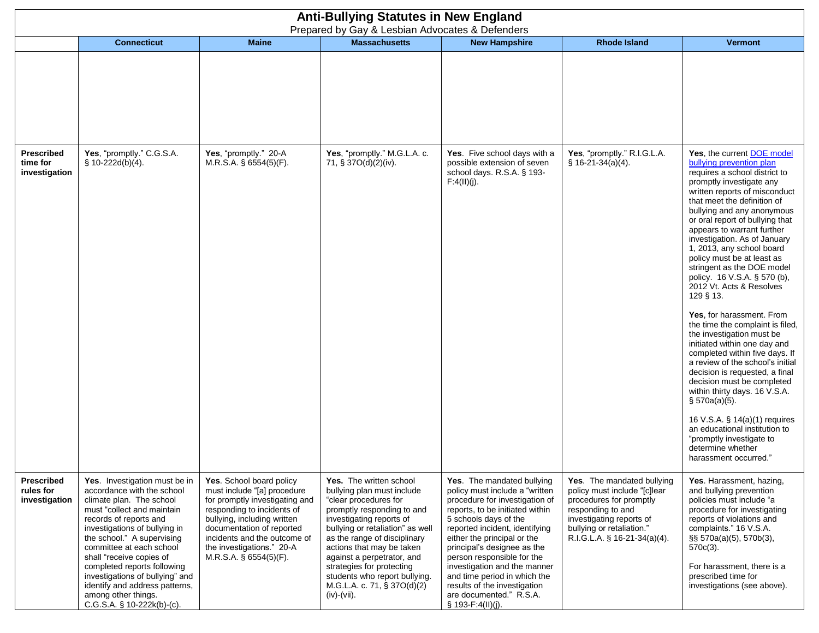|                                          | <b>Anti-Bullying Statutes in New England</b><br>Prepared by Gay & Lesbian Advocates & Defenders                                                                                                                                                                                                                                                                                                                                 |                                                                                                                                                                                                                                                                              |                                                                                                                                                                                                                                                                                                                                                                                     |                                                                                                                                                                                                                                                                                                                                                                                                                                          |                                                                                                                                                                                                     |                                                                                                                                                                                                                                                                                                                                                                                                                                                                                                                                                                                                                                                                                                                                                                                                                                                                                                                                                                  |  |  |
|------------------------------------------|---------------------------------------------------------------------------------------------------------------------------------------------------------------------------------------------------------------------------------------------------------------------------------------------------------------------------------------------------------------------------------------------------------------------------------|------------------------------------------------------------------------------------------------------------------------------------------------------------------------------------------------------------------------------------------------------------------------------|-------------------------------------------------------------------------------------------------------------------------------------------------------------------------------------------------------------------------------------------------------------------------------------------------------------------------------------------------------------------------------------|------------------------------------------------------------------------------------------------------------------------------------------------------------------------------------------------------------------------------------------------------------------------------------------------------------------------------------------------------------------------------------------------------------------------------------------|-----------------------------------------------------------------------------------------------------------------------------------------------------------------------------------------------------|------------------------------------------------------------------------------------------------------------------------------------------------------------------------------------------------------------------------------------------------------------------------------------------------------------------------------------------------------------------------------------------------------------------------------------------------------------------------------------------------------------------------------------------------------------------------------------------------------------------------------------------------------------------------------------------------------------------------------------------------------------------------------------------------------------------------------------------------------------------------------------------------------------------------------------------------------------------|--|--|
|                                          | <b>Connecticut</b>                                                                                                                                                                                                                                                                                                                                                                                                              | <b>Maine</b>                                                                                                                                                                                                                                                                 | <b>Massachusetts</b>                                                                                                                                                                                                                                                                                                                                                                | <b>New Hampshire</b>                                                                                                                                                                                                                                                                                                                                                                                                                     | <b>Rhode Island</b>                                                                                                                                                                                 | <b>Vermont</b>                                                                                                                                                                                                                                                                                                                                                                                                                                                                                                                                                                                                                                                                                                                                                                                                                                                                                                                                                   |  |  |
|                                          |                                                                                                                                                                                                                                                                                                                                                                                                                                 |                                                                                                                                                                                                                                                                              |                                                                                                                                                                                                                                                                                                                                                                                     |                                                                                                                                                                                                                                                                                                                                                                                                                                          |                                                                                                                                                                                                     |                                                                                                                                                                                                                                                                                                                                                                                                                                                                                                                                                                                                                                                                                                                                                                                                                                                                                                                                                                  |  |  |
| Prescribed<br>time for<br>investigation  | Yes, "promptly." C.G.S.A.<br>§ 10-222d(b)(4).                                                                                                                                                                                                                                                                                                                                                                                   | Yes, "promptly." 20-A<br>M.R.S.A. § 6554(5)(F).                                                                                                                                                                                                                              | Yes, "promptly." M.G.L.A. c.<br>71, § 37O(d)(2)(iv).                                                                                                                                                                                                                                                                                                                                | Yes. Five school days with a<br>possible extension of seven<br>school days. R.S.A. § 193-<br>F:4(II)(j).                                                                                                                                                                                                                                                                                                                                 | Yes, "promptly." R.I.G.L.A.<br>$$16-21-34(a)(4).$                                                                                                                                                   | Yes, the current <b>DOE</b> model<br>bullying prevention plan<br>requires a school district to<br>promptly investigate any<br>written reports of misconduct<br>that meet the definition of<br>bullying and any anonymous<br>or oral report of bullying that<br>appears to warrant further<br>investigation. As of January<br>1, 2013, any school board<br>policy must be at least as<br>stringent as the DOE model<br>policy. 16 V.S.A. § 570 (b),<br>2012 Vt. Acts & Resolves<br>129 § 13.<br>Yes, for harassment. From<br>the time the complaint is filed,<br>the investigation must be<br>initiated within one day and<br>completed within five days. If<br>a review of the school's initial<br>decision is requested, a final<br>decision must be completed<br>within thirty days. 16 V.S.A.<br>$\S$ 570a(a)(5).<br>16 V.S.A. § 14(a)(1) requires<br>an educational institution to<br>"promptly investigate to<br>determine whether<br>harassment occurred." |  |  |
| Prescribed<br>rules for<br>investigation | Yes. Investigation must be in<br>accordance with the school<br>climate plan. The school<br>must "collect and maintain<br>records of reports and<br>investigations of bullying in<br>the school." A supervising<br>committee at each school<br>shall "receive copies of<br>completed reports following<br>investigations of bullying" and<br>identify and address patterns,<br>among other things.<br>C.G.S.A. § 10-222k(b)-(c). | Yes. School board policy<br>must include "[a] procedure<br>for promptly investigating and<br>responding to incidents of<br>bullying, including written<br>documentation of reported<br>incidents and the outcome of<br>the investigations." 20-A<br>$M.R.S.A.$ § 6554(5)(F). | Yes. The written school<br>bullying plan must include<br>"clear procedures for<br>promptly responding to and<br>investigating reports of<br>bullying or retaliation" as well<br>as the range of disciplinary<br>actions that may be taken<br>against a perpetrator, and<br>strategies for protecting<br>students who report bullying.<br>M.G.L.A. c. 71, § 37O(d)(2)<br>(iv) (vii). | Yes. The mandated bullying<br>policy must include a "written<br>procedure for investigation of<br>reports, to be initiated within<br>5 schools days of the<br>reported incident, identifying<br>either the principal or the<br>principal's designee as the<br>person responsible for the<br>investigation and the manner<br>and time period in which the<br>results of the investigation<br>are documented." R.S.A.<br>§ 193-F:4(II)(j). | Yes. The mandated bullying<br>policy must include "[c]lear<br>procedures for promptly<br>responding to and<br>investigating reports of<br>bullying or retaliation."<br>R.I.G.L.A. § 16-21-34(a)(4). | Yes. Harassment, hazing,<br>and bullying prevention<br>policies must include "a<br>procedure for investigating<br>reports of violations and<br>complaints." 16 V.S.A.<br>§§ 570a(a)(5), 570b(3),<br>$570c(3)$ .<br>For harassment, there is a<br>prescribed time for<br>investigations (see above).                                                                                                                                                                                                                                                                                                                                                                                                                                                                                                                                                                                                                                                              |  |  |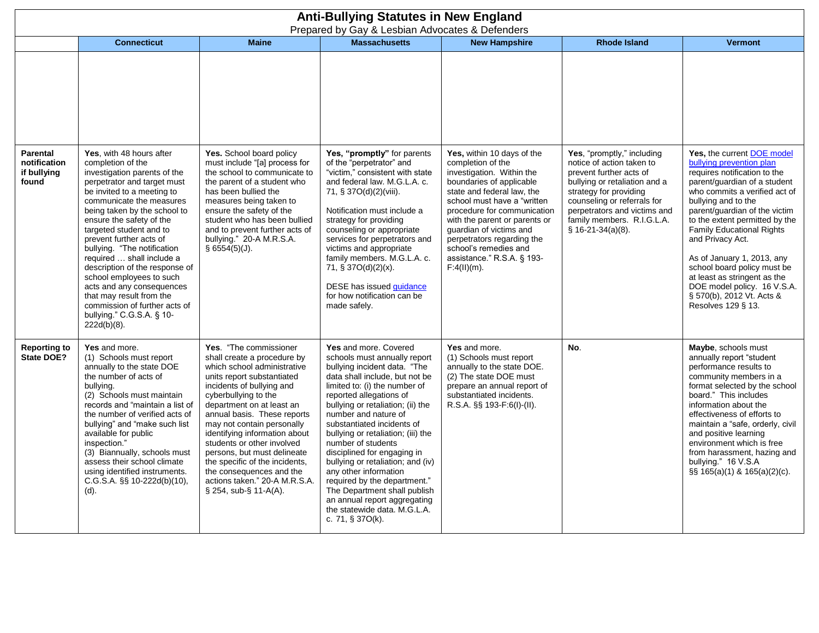|                                                         | <b>Anti-Bullying Statutes in New England</b><br>Prepared by Gay & Lesbian Advocates & Defenders                                                                                                                                                                                                                                                                                                                                                                                                                                                             |                                                                                                                                                                                                                                                                                                                                                                                                                                                                                                |                                                                                                                                                                                                                                                                                                                                                                                                                                                                                                                                                                                             |                                                                                                                                                                                                                                                                                                                                                                          |                                                                                                                                                                                                                                                                  |                                                                                                                                                                                                                                                                                                                                                                                                                                                                                                 |  |
|---------------------------------------------------------|-------------------------------------------------------------------------------------------------------------------------------------------------------------------------------------------------------------------------------------------------------------------------------------------------------------------------------------------------------------------------------------------------------------------------------------------------------------------------------------------------------------------------------------------------------------|------------------------------------------------------------------------------------------------------------------------------------------------------------------------------------------------------------------------------------------------------------------------------------------------------------------------------------------------------------------------------------------------------------------------------------------------------------------------------------------------|---------------------------------------------------------------------------------------------------------------------------------------------------------------------------------------------------------------------------------------------------------------------------------------------------------------------------------------------------------------------------------------------------------------------------------------------------------------------------------------------------------------------------------------------------------------------------------------------|--------------------------------------------------------------------------------------------------------------------------------------------------------------------------------------------------------------------------------------------------------------------------------------------------------------------------------------------------------------------------|------------------------------------------------------------------------------------------------------------------------------------------------------------------------------------------------------------------------------------------------------------------|-------------------------------------------------------------------------------------------------------------------------------------------------------------------------------------------------------------------------------------------------------------------------------------------------------------------------------------------------------------------------------------------------------------------------------------------------------------------------------------------------|--|
|                                                         | <b>Connecticut</b>                                                                                                                                                                                                                                                                                                                                                                                                                                                                                                                                          | <b>Maine</b>                                                                                                                                                                                                                                                                                                                                                                                                                                                                                   | <b>Massachusetts</b>                                                                                                                                                                                                                                                                                                                                                                                                                                                                                                                                                                        | <b>New Hampshire</b>                                                                                                                                                                                                                                                                                                                                                     | <b>Rhode Island</b>                                                                                                                                                                                                                                              | <b>Vermont</b>                                                                                                                                                                                                                                                                                                                                                                                                                                                                                  |  |
|                                                         |                                                                                                                                                                                                                                                                                                                                                                                                                                                                                                                                                             |                                                                                                                                                                                                                                                                                                                                                                                                                                                                                                |                                                                                                                                                                                                                                                                                                                                                                                                                                                                                                                                                                                             |                                                                                                                                                                                                                                                                                                                                                                          |                                                                                                                                                                                                                                                                  |                                                                                                                                                                                                                                                                                                                                                                                                                                                                                                 |  |
| <b>Parental</b><br>notification<br>if bullying<br>found | Yes, with 48 hours after<br>completion of the<br>investigation parents of the<br>perpetrator and target must<br>be invited to a meeting to<br>communicate the measures<br>being taken by the school to<br>ensure the safety of the<br>targeted student and to<br>prevent further acts of<br>bullying. "The notification<br>required  shall include a<br>description of the response of<br>school employees to such<br>acts and any consequences<br>that may result from the<br>commission of further acts of<br>bullying." C.G.S.A. § 10-<br>$222d(b)(8)$ . | Yes. School board policy<br>must include "[a] process for<br>the school to communicate to<br>the parent of a student who<br>has been bullied the<br>measures being taken to<br>ensure the safety of the<br>student who has been bullied<br>and to prevent further acts of<br>bullying." 20-A M.R.S.A.<br>\$6554(5)(J).                                                                                                                                                                         | Yes, "promptly" for parents<br>of the "perpetrator" and<br>"victim," consistent with state<br>and federal law. M.G.L.A. c.<br>71, § 37O(d)(2)(viii).<br>Notification must include a<br>strategy for providing<br>counseling or appropriate<br>services for perpetrators and<br>victims and appropriate<br>family members. M.G.L.A. c.<br>71, § 37O(d)(2)(x).<br>DESE has issued quidance<br>for how notification can be<br>made safely.                                                                                                                                                     | Yes, within 10 days of the<br>completion of the<br>investigation. Within the<br>boundaries of applicable<br>state and federal law, the<br>school must have a "written"<br>procedure for communication<br>with the parent or parents or<br>guardian of victims and<br>perpetrators regarding the<br>school's remedies and<br>assistance." R.S.A. § 193-<br>$F:4(II)(m)$ . | Yes, "promptly," including<br>notice of action taken to<br>prevent further acts of<br>bullying or retaliation and a<br>strategy for providing<br>counseling or referrals for<br>perpetrators and victims and<br>family members. R.I.G.L.A.<br>$$16-21-34(a)(8).$ | Yes, the current <b>DOE</b> model<br>bullying prevention plan<br>requires notification to the<br>parent/guardian of a student<br>who commits a verified act of<br>bullying and to the<br>parent/guardian of the victim<br>to the extent permitted by the<br><b>Family Educational Rights</b><br>and Privacy Act.<br>As of January 1, 2013, any<br>school board policy must be<br>at least as stringent as the<br>DOE model policy. 16 V.S.A.<br>§ 570(b), 2012 Vt. Acts &<br>Resolves 129 § 13. |  |
| <b>Reporting to</b><br>State DOE?                       | Yes and more.<br>(1) Schools must report<br>annually to the state DOE<br>the number of acts of<br>bullying.<br>(2) Schools must maintain<br>records and "maintain a list of<br>the number of verified acts of<br>bullying" and "make such list<br>available for public<br>inspection."<br>(3) Biannually, schools must<br>assess their school climate<br>using identified instruments.<br>C.G.S.A. §§ 10-222d(b)(10),<br>$(d)$ .                                                                                                                            | Yes. "The commissioner<br>shall create a procedure by<br>which school administrative<br>units report substantiated<br>incidents of bullying and<br>cyberbullying to the<br>department on at least an<br>annual basis. These reports<br>may not contain personally<br>identifying information about<br>students or other involved<br>persons, but must delineate<br>the specific of the incidents,<br>the consequences and the<br>actions taken." 20-A M.R.S.A.<br>$\S$ 254, sub- $\S$ 11-A(A). | Yes and more. Covered<br>schools must annually report<br>bullying incident data. "The<br>data shall include, but not be<br>limited to: (i) the number of<br>reported allegations of<br>bullying or retaliation; (ii) the<br>number and nature of<br>substantiated incidents of<br>bullying or retaliation; (iii) the<br>number of students<br>disciplined for engaging in<br>bullying or retaliation; and (iv)<br>any other information<br>required by the department."<br>The Department shall publish<br>an annual report aggregating<br>the statewide data, M.G.L.A.<br>c. 71, § 370(k). | Yes and more.<br>(1) Schools must report<br>annually to the state DOE.<br>(2) The state DOE must<br>prepare an annual report of<br>substantiated incidents.<br>R.S.A. §§ 193-F:6(I)-(II).                                                                                                                                                                                | No.                                                                                                                                                                                                                                                              | Maybe, schools must<br>annually report "student<br>performance results to<br>community members in a<br>format selected by the school<br>board." This includes<br>information about the<br>effectiveness of efforts to<br>maintain a "safe, orderly, civil<br>and positive learning<br>environment which is free<br>from harassment, hazing and<br>bullying." 16 V.S.A<br>§§ 165(a)(1) & 165(a)(2)(c).                                                                                           |  |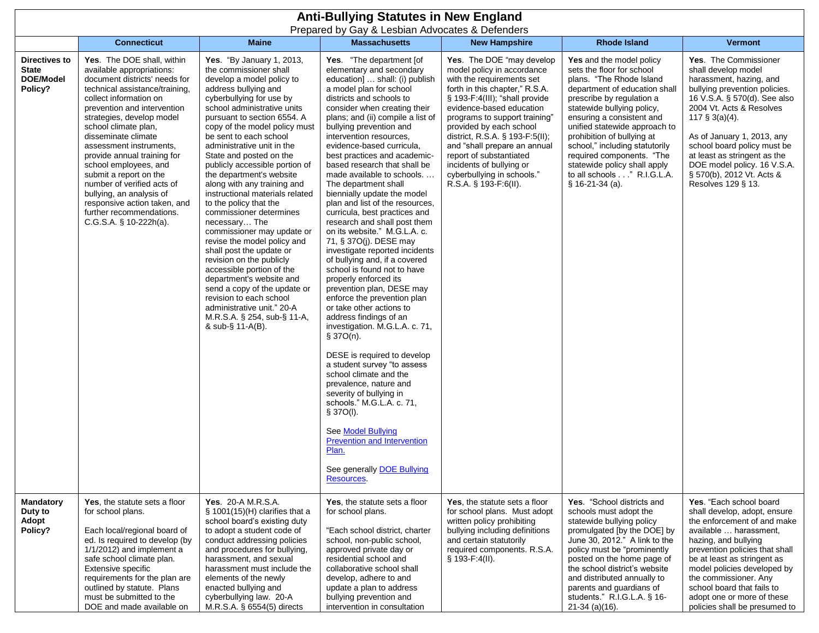|                                                              | <b>Anti-Bullying Statutes in New England</b><br>Prepared by Gay & Lesbian Advocates & Defenders                                                                                                                                                                                                                                                                                                                                                                                                                              |                                                                                                                                                                                                                                                                                                                                                                                                                                                                                                                                                                                                                                                                                                                                                                                                                                                        |                                                                                                                                                                                                                                                                                                                                                                                                                                                                                                                                                                                                                                                                                                                                                                                                                                                                                                                                                                                                                                                                                                                                                                                                                                    |                                                                                                                                                                                                                                                                                                                                                                                                                                   |                                                                                                                                                                                                                                                                                                                                                                                                                              |                                                                                                                                                                                                                                                                                                                                                                          |  |  |
|--------------------------------------------------------------|------------------------------------------------------------------------------------------------------------------------------------------------------------------------------------------------------------------------------------------------------------------------------------------------------------------------------------------------------------------------------------------------------------------------------------------------------------------------------------------------------------------------------|--------------------------------------------------------------------------------------------------------------------------------------------------------------------------------------------------------------------------------------------------------------------------------------------------------------------------------------------------------------------------------------------------------------------------------------------------------------------------------------------------------------------------------------------------------------------------------------------------------------------------------------------------------------------------------------------------------------------------------------------------------------------------------------------------------------------------------------------------------|------------------------------------------------------------------------------------------------------------------------------------------------------------------------------------------------------------------------------------------------------------------------------------------------------------------------------------------------------------------------------------------------------------------------------------------------------------------------------------------------------------------------------------------------------------------------------------------------------------------------------------------------------------------------------------------------------------------------------------------------------------------------------------------------------------------------------------------------------------------------------------------------------------------------------------------------------------------------------------------------------------------------------------------------------------------------------------------------------------------------------------------------------------------------------------------------------------------------------------|-----------------------------------------------------------------------------------------------------------------------------------------------------------------------------------------------------------------------------------------------------------------------------------------------------------------------------------------------------------------------------------------------------------------------------------|------------------------------------------------------------------------------------------------------------------------------------------------------------------------------------------------------------------------------------------------------------------------------------------------------------------------------------------------------------------------------------------------------------------------------|--------------------------------------------------------------------------------------------------------------------------------------------------------------------------------------------------------------------------------------------------------------------------------------------------------------------------------------------------------------------------|--|--|
|                                                              | <b>Connecticut</b>                                                                                                                                                                                                                                                                                                                                                                                                                                                                                                           | <b>Maine</b>                                                                                                                                                                                                                                                                                                                                                                                                                                                                                                                                                                                                                                                                                                                                                                                                                                           | <b>Massachusetts</b>                                                                                                                                                                                                                                                                                                                                                                                                                                                                                                                                                                                                                                                                                                                                                                                                                                                                                                                                                                                                                                                                                                                                                                                                               | <b>New Hampshire</b>                                                                                                                                                                                                                                                                                                                                                                                                              | <b>Rhode Island</b>                                                                                                                                                                                                                                                                                                                                                                                                          | <b>Vermont</b>                                                                                                                                                                                                                                                                                                                                                           |  |  |
| Directives to<br><b>State</b><br><b>DOE/Model</b><br>Policy? | Yes. The DOE shall, within<br>available appropriations:<br>document districts' needs for<br>technical assistance/training,<br>collect information on<br>prevention and intervention<br>strategies, develop model<br>school climate plan,<br>disseminate climate<br>assessment instruments,<br>provide annual training for<br>school employees, and<br>submit a report on the<br>number of verified acts of<br>bullying, an analysis of<br>responsive action taken, and<br>further recommendations.<br>C.G.S.A. § 10-222h(a). | Yes. "By January 1, 2013,<br>the commissioner shall<br>develop a model policy to<br>address bullying and<br>cyberbullying for use by<br>school administrative units<br>pursuant to section 6554. A<br>copy of the model policy must<br>be sent to each school<br>administrative unit in the<br>State and posted on the<br>publicly accessible portion of<br>the department's website<br>along with any training and<br>instructional materials related<br>to the policy that the<br>commissioner determines<br>necessary The<br>commissioner may update or<br>revise the model policy and<br>shall post the update or<br>revision on the publicly<br>accessible portion of the<br>department's website and<br>send a copy of the update or<br>revision to each school<br>administrative unit." 20-A<br>M.R.S.A. § 254, sub-§ 11-A,<br>& sub-§ 11-A(B). | Yes. "The department [of<br>elementary and secondary<br>education]  shall: (i) publish<br>a model plan for school<br>districts and schools to<br>consider when creating their<br>plans; and (ii) compile a list of<br>bullying prevention and<br>intervention resources,<br>evidence-based curricula,<br>best practices and academic-<br>based research that shall be<br>made available to schools<br>The department shall<br>biennially update the model<br>plan and list of the resources,<br>curricula, best practices and<br>research and shall post them<br>on its website." M.G.L.A. c.<br>71, § 37O(j). DESE may<br>investigate reported incidents<br>of bullying and, if a covered<br>school is found not to have<br>properly enforced its<br>prevention plan, DESE may<br>enforce the prevention plan<br>or take other actions to<br>address findings of an<br>investigation. M.G.L.A. c. 71,<br>§ 37O(n).<br>DESE is required to develop<br>a student survey "to assess<br>school climate and the<br>prevalence, nature and<br>severity of bullying in<br>schools." M.G.L.A. c. 71,<br>\$37O(I).<br>See Model Bullying<br><b>Prevention and Intervention</b><br>Plan.<br>See generally <b>DOE Bullying</b><br>Resources. | Yes. The DOE "may develop<br>model policy in accordance<br>with the requirements set<br>forth in this chapter," R.S.A.<br>§ 193-F:4(III); "shall provide<br>evidence-based education<br>programs to support training"<br>provided by each school<br>district, R.S.A. § 193-F:5(II);<br>and "shall prepare an annual<br>report of substantiated<br>incidents of bullying or<br>cyberbullying in schools."<br>R.S.A. § 193-F:6(II). | Yes and the model policy<br>sets the floor for school<br>plans. "The Rhode Island<br>department of education shall<br>prescribe by regulation a<br>statewide bullying policy,<br>ensuring a consistent and<br>unified statewide approach to<br>prohibition of bullying at<br>school," including statutorily<br>required components. "The<br>statewide policy shall apply<br>to all schools " R.I.G.L.A.<br>$§ 16-21-34 (a).$ | Yes. The Commissioner<br>shall develop model<br>harassment, hazing, and<br>bullying prevention policies.<br>16 V.S.A. § 570(d). See also<br>2004 Vt. Acts & Resolves<br>117 $\S$ 3(a)(4).<br>As of January 1, 2013, any<br>school board policy must be<br>at least as stringent as the<br>DOE model policy. 16 V.S.A.<br>§ 570(b), 2012 Vt. Acts &<br>Resolves 129 § 13. |  |  |
| <b>Mandatory</b><br>Duty to<br>Adopt<br>Policy?              | Yes, the statute sets a floor<br>for school plans.<br>Each local/regional board of<br>ed. Is required to develop (by<br>1/1/2012) and implement a<br>safe school climate plan.<br>Extensive specific<br>requirements for the plan are<br>outlined by statute. Plans<br>must be submitted to the<br>DOE and made available on                                                                                                                                                                                                 | Yes. 20-A M.R.S.A.<br>$\S$ 1001(15)(H) clarifies that a<br>school board's existing duty<br>to adopt a student code of<br>conduct addressing policies<br>and procedures for bullying,<br>harassment, and sexual<br>harassment must include the<br>elements of the newly<br>enacted bullying and<br>cyberbullying law. 20-A<br>M.R.S.A. § 6554(5) directs                                                                                                                                                                                                                                                                                                                                                                                                                                                                                                | Yes, the statute sets a floor<br>for school plans.<br>"Each school district, charter<br>school, non-public school,<br>approved private day or<br>residential school and<br>collaborative school shall<br>develop, adhere to and<br>update a plan to address<br>bullying prevention and<br>intervention in consultation                                                                                                                                                                                                                                                                                                                                                                                                                                                                                                                                                                                                                                                                                                                                                                                                                                                                                                             | Yes, the statute sets a floor<br>for school plans. Must adopt<br>written policy prohibiting<br>bullying including definitions<br>and certain statutorily<br>required components. R.S.A.<br>$§ 193-F:4(II).$                                                                                                                                                                                                                       | Yes. "School districts and<br>schools must adopt the<br>statewide bullying policy<br>promulgated [by the DOE] by<br>June 30, 2012." A link to the<br>policy must be "prominently<br>posted on the home page of<br>the school district's website<br>and distributed annually to<br>parents and guardians of<br>students." R.I.G.L.A. § 16-<br>$21-34$ (a)(16).                                                                | Yes. "Each school board<br>shall develop, adopt, ensure<br>the enforcement of and make<br>available  harassment,<br>hazing, and bullying<br>prevention policies that shall<br>be at least as stringent as<br>model policies developed by<br>the commissioner. Any<br>school board that fails to<br>adopt one or more of these<br>policies shall be presumed to           |  |  |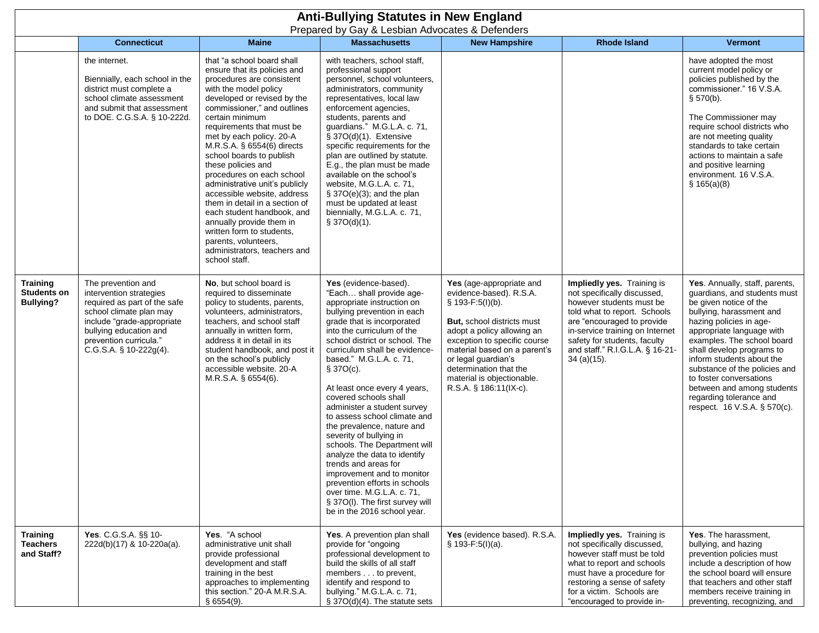| <b>Anti-Bullying Statutes in New England</b><br>Prepared by Gay & Lesbian Advocates & Defenders |                                                           |                                                                                                                                                                                                                      |                                                                                                                                                                                                                                                                                                                                                                                                                                                                                                                                                                                                                                            |                                                                                                                                                                                                                                                                                                                                                                                                                                                                                                                                                                                                                                                                                                                                 |                                                                                                                                                                                                                                                                                                                      |                                                                                                                                                                                                                                                                            |                                                                                                                                                                                                                                                                                                                                                                                                                           |
|-------------------------------------------------------------------------------------------------|-----------------------------------------------------------|----------------------------------------------------------------------------------------------------------------------------------------------------------------------------------------------------------------------|--------------------------------------------------------------------------------------------------------------------------------------------------------------------------------------------------------------------------------------------------------------------------------------------------------------------------------------------------------------------------------------------------------------------------------------------------------------------------------------------------------------------------------------------------------------------------------------------------------------------------------------------|---------------------------------------------------------------------------------------------------------------------------------------------------------------------------------------------------------------------------------------------------------------------------------------------------------------------------------------------------------------------------------------------------------------------------------------------------------------------------------------------------------------------------------------------------------------------------------------------------------------------------------------------------------------------------------------------------------------------------------|----------------------------------------------------------------------------------------------------------------------------------------------------------------------------------------------------------------------------------------------------------------------------------------------------------------------|----------------------------------------------------------------------------------------------------------------------------------------------------------------------------------------------------------------------------------------------------------------------------|---------------------------------------------------------------------------------------------------------------------------------------------------------------------------------------------------------------------------------------------------------------------------------------------------------------------------------------------------------------------------------------------------------------------------|
|                                                                                                 |                                                           | <b>Connecticut</b>                                                                                                                                                                                                   | <b>Maine</b>                                                                                                                                                                                                                                                                                                                                                                                                                                                                                                                                                                                                                               | <b>Massachusetts</b>                                                                                                                                                                                                                                                                                                                                                                                                                                                                                                                                                                                                                                                                                                            | <b>New Hampshire</b>                                                                                                                                                                                                                                                                                                 | <b>Rhode Island</b>                                                                                                                                                                                                                                                        | <b>Vermont</b>                                                                                                                                                                                                                                                                                                                                                                                                            |
|                                                                                                 |                                                           | the internet.<br>Biennially, each school in the<br>district must complete a<br>school climate assessment<br>and submit that assessment<br>to DOE. C.G.S.A. § 10-222d.                                                | that "a school board shall<br>ensure that its policies and<br>procedures are consistent<br>with the model policy<br>developed or revised by the<br>commissioner," and outlines<br>certain minimum<br>requirements that must be<br>met by each policy. 20-A<br>M.R.S.A. § 6554(6) directs<br>school boards to publish<br>these policies and<br>procedures on each school<br>administrative unit's publicly<br>accessible website, address<br>them in detail in a section of<br>each student handbook, and<br>annually provide them in<br>written form to students,<br>parents, volunteers,<br>administrators, teachers and<br>school staff. | with teachers, school staff,<br>professional support<br>personnel, school volunteers,<br>administrators, community<br>representatives, local law<br>enforcement agencies,<br>students, parents and<br>guardians." M.G.L.A. c. 71,<br>$\S$ 37O(d)(1). Extensive<br>specific requirements for the<br>plan are outlined by statute.<br>E.g., the plan must be made<br>available on the school's<br>website, M.G.L.A. c. 71,<br>$\S$ 37O(e)(3); and the plan<br>must be updated at least<br>biennially, M.G.L.A. c. 71,<br>$$37O(d)(1)$ .                                                                                                                                                                                           |                                                                                                                                                                                                                                                                                                                      |                                                                                                                                                                                                                                                                            | have adopted the most<br>current model policy or<br>policies published by the<br>commissioner." 16 V.S.A.<br>§ 570(b).<br>The Commissioner may<br>require school districts who<br>are not meeting quality<br>standards to take certain<br>actions to maintain a safe<br>and positive learning<br>environment. 16 V.S.A.<br>\$165(a)(8)                                                                                    |
|                                                                                                 | <b>Training</b><br><b>Students on</b><br><b>Bullying?</b> | The prevention and<br>intervention strategies<br>required as part of the safe<br>school climate plan may<br>include "grade-appropriate<br>bullying education and<br>prevention curricula."<br>C.G.S.A. § 10-222g(4). | No, but school board is<br>required to disseminate<br>policy to students, parents,<br>volunteers, administrators,<br>teachers, and school staff<br>annually in written form,<br>address it in detail in its<br>student handbook, and post it<br>on the school's publicly<br>accessible website. 20-A<br>M.R.S.A. § 6554(6).                                                                                                                                                                                                                                                                                                                | Yes (evidence-based).<br>"Each shall provide age-<br>appropriate instruction on<br>bullying prevention in each<br>grade that is incorporated<br>into the curriculum of the<br>school district or school. The<br>curriculum shall be evidence-<br>based." M.G.L.A. c. 71,<br>$$37O(c)$ .<br>At least once every 4 years,<br>covered schools shall<br>administer a student survey<br>to assess school climate and<br>the prevalence, nature and<br>severity of bullying in<br>schools. The Department will<br>analyze the data to identify<br>trends and areas for<br>improvement and to monitor<br>prevention efforts in schools<br>over time. M.G.L.A. c. 71,<br>§ 37O(I). The first survey will<br>be in the 2016 school year. | Yes (age-appropriate and<br>evidence-based). R.S.A.<br>$$193-F:5(I)(b).$<br><b>But, school districts must</b><br>adopt a policy allowing an<br>exception to specific course<br>material based on a parent's<br>or legal guardian's<br>determination that the<br>material is objectionable.<br>R.S.A. § 186:11(IX-c). | Impliedly yes. Training is<br>not specifically discussed,<br>however students must be<br>told what to report. Schools<br>are "encouraged to provide<br>in-service training on Internet<br>safety for students, faculty<br>and staff." R.I.G.L.A. § 16-21-<br>$34$ (a)(15). | Yes. Annually, staff, parents,<br>quardians, and students must<br>be given notice of the<br>bullying, harassment and<br>hazing policies in age-<br>appropriate language with<br>examples. The school board<br>shall develop programs to<br>inform students about the<br>substance of the policies and<br>to foster conversations<br>between and among students<br>regarding tolerance and<br>respect. 16 V.S.A. § 570(c). |
|                                                                                                 | <b>Training</b><br><b>Teachers</b><br>and Staff?          | Yes. C.G.S.A. §§ 10-<br>222d(b)(17) & 10-220a(a).                                                                                                                                                                    | Yes. "A school<br>administrative unit shall<br>provide professional<br>development and staff<br>training in the best<br>approaches to implementing<br>this section." 20-A M.R.S.A.<br>§6554(9).                                                                                                                                                                                                                                                                                                                                                                                                                                            | Yes. A prevention plan shall<br>provide for "ongoing<br>professional development to<br>build the skills of all staff<br>members to prevent,<br>identify and respond to<br>bullying." M.G.L.A. c. 71,<br>$\S$ 37O(d)(4). The statute sets                                                                                                                                                                                                                                                                                                                                                                                                                                                                                        | Yes (evidence based). R.S.A.<br>$$193-F:5(I)(a).$                                                                                                                                                                                                                                                                    | Impliedly yes. Training is<br>not specifically discussed,<br>however staff must be told<br>what to report and schools<br>must have a procedure for<br>restoring a sense of safety<br>for a victim. Schools are<br>"encouraged to provide in-                               | Yes. The harassment,<br>bullying, and hazing<br>prevention policies must<br>include a description of how<br>the school board will ensure<br>that teachers and other staff<br>members receive training in<br>preventing, recognizing, and                                                                                                                                                                                  |